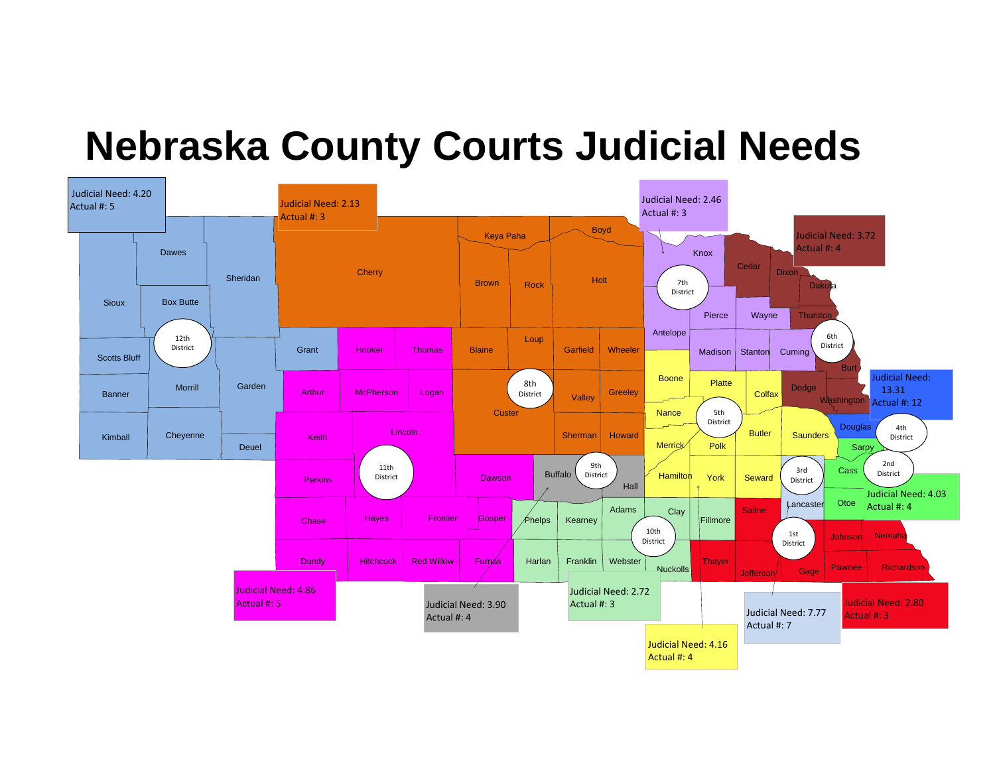# **Nebraska County Courts Judicial Needs**

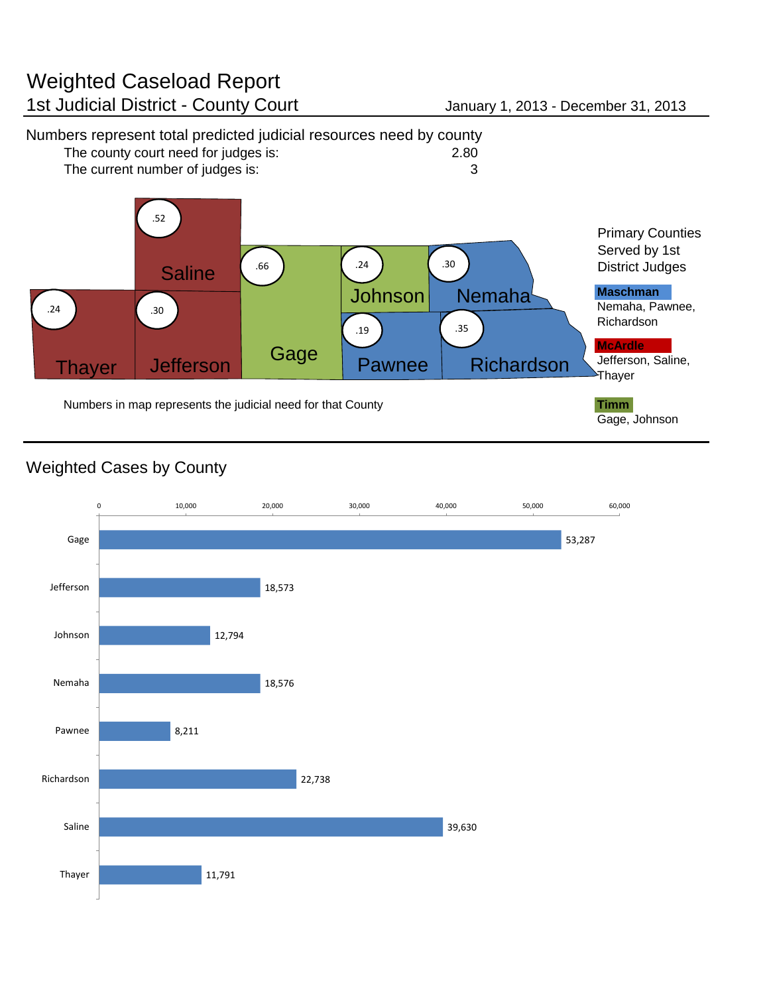### Weighted Caseload Report 1st Judicial District - County Court January 1, 2013 - December 31, 2013



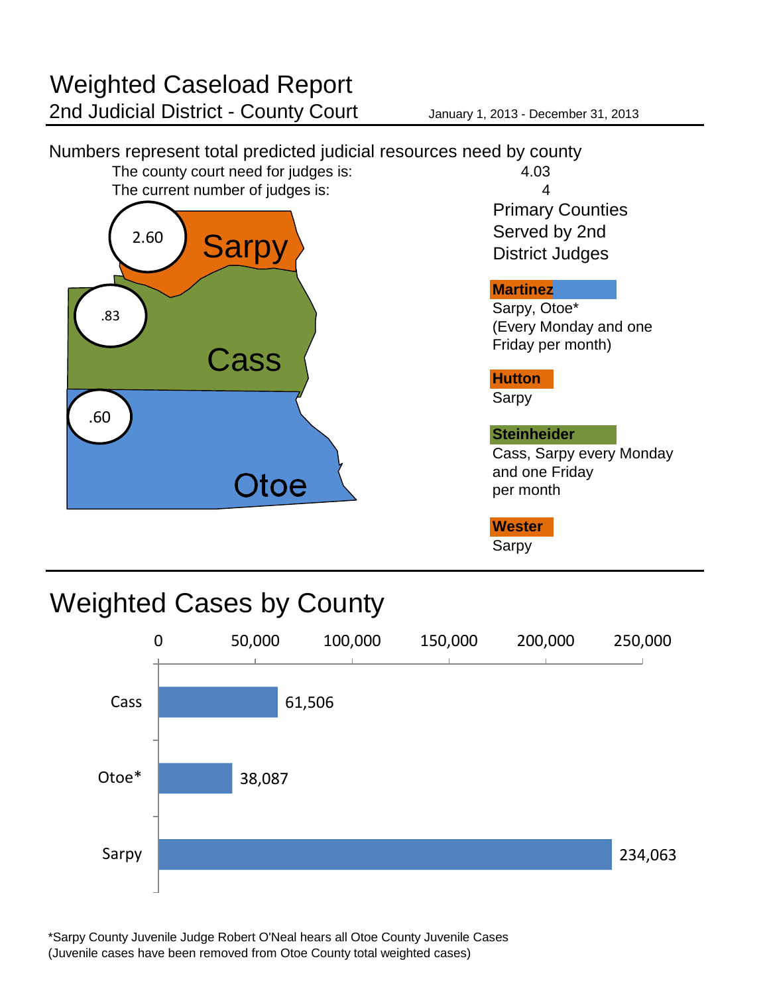



\*Sarpy County Juvenile Judge Robert O'Neal hears all Otoe County Juvenile Cases (Juvenile cases have been removed from Otoe County total weighted cases)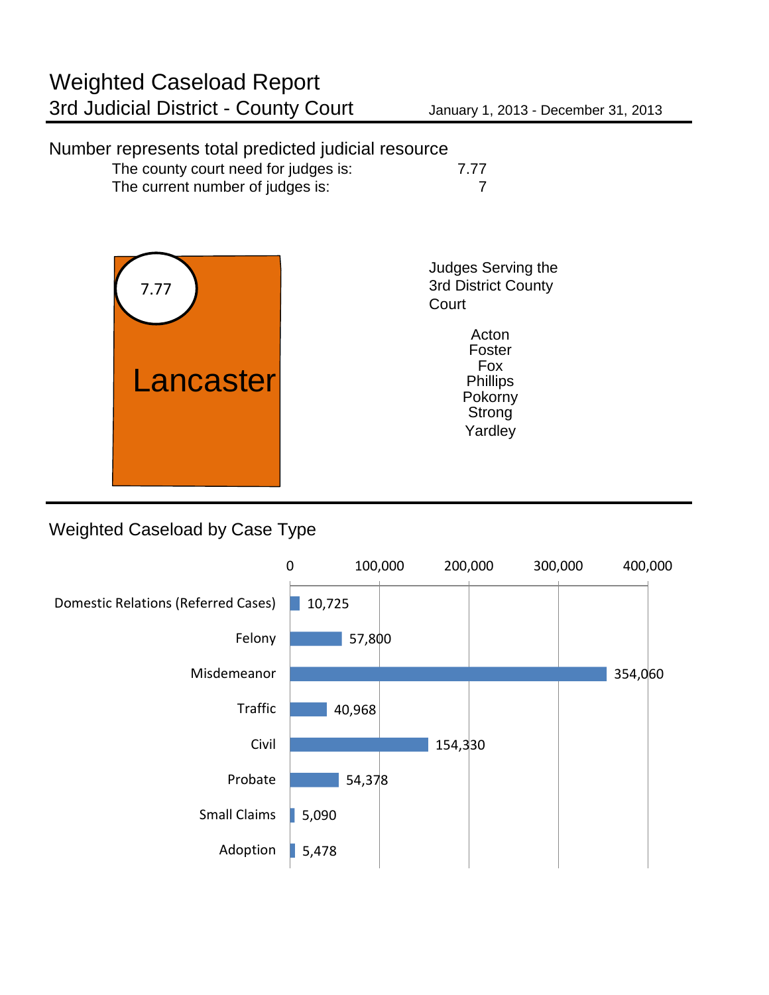### Number represents total predicted judicial resource The county court need for judges is: 7.77 The current number of judges is: 7 Judges Serving the 3rd District County **Court** Yardley **Strong Acton** Foster Fox Phillips<br>Pokorny Lancaster 7.77

#### Weighted Caseload by Case Type

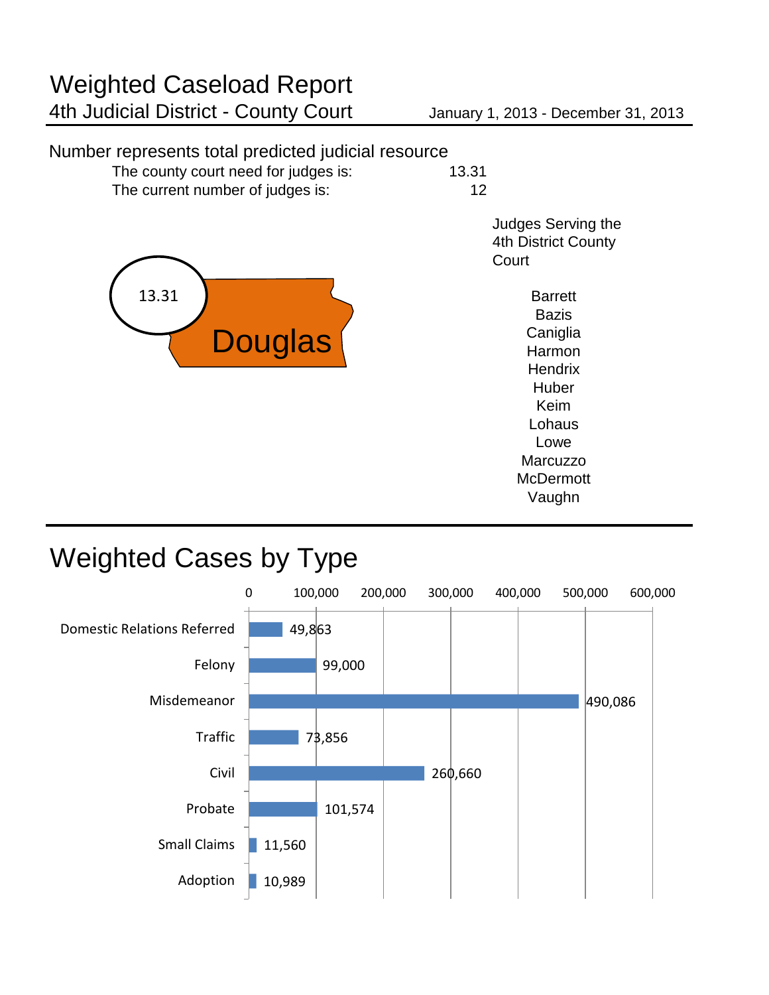#### Number represents total predicted judicial resource

| The county court need for judges is: | 13.31 |
|--------------------------------------|-------|
| The current number of judges is:     | 12    |

Judges Serving the 4th District County **Court** 

> Vaughn **Bazis Caniglia** Harmon **Hendrix Huber** Keim **Barrett** Lohaus Lowe **Marcuzzo McDermott**



## Weighted Cases by Type

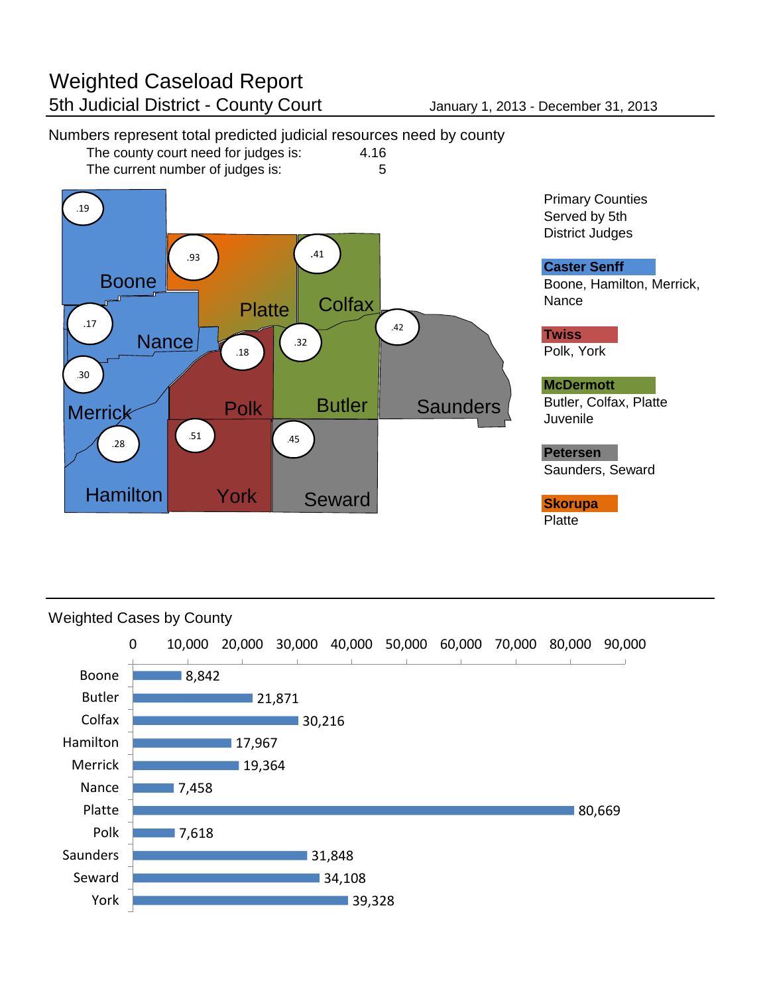

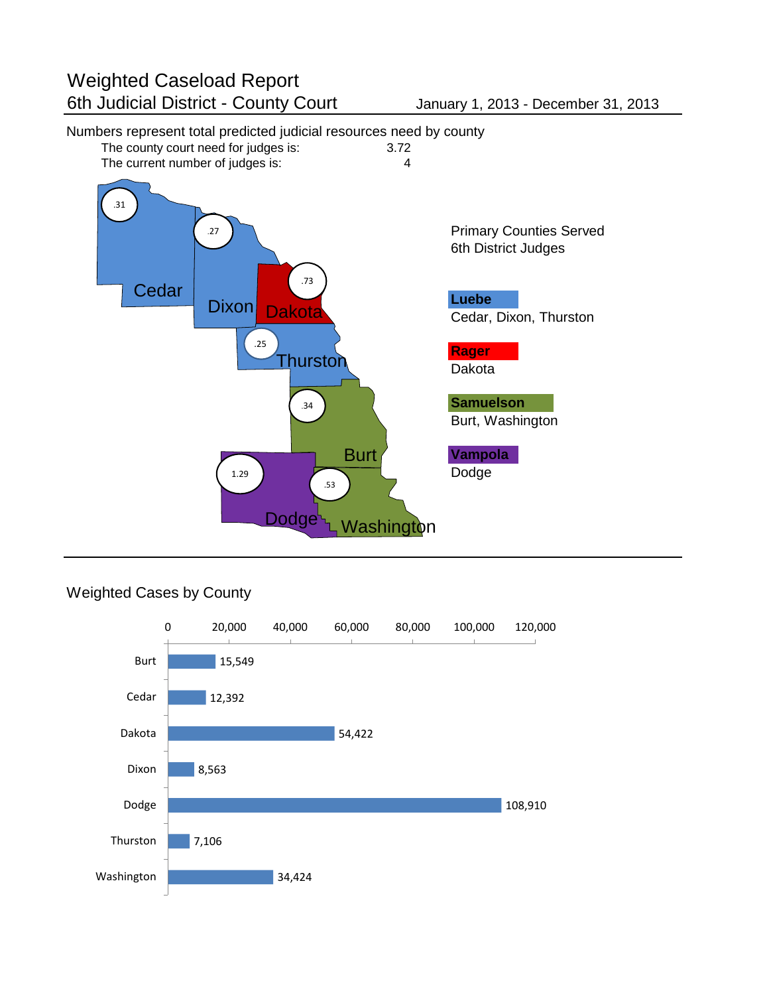### Numbers represent total predicted judicial resources need by county<br>The county court need for judges is: 3.72



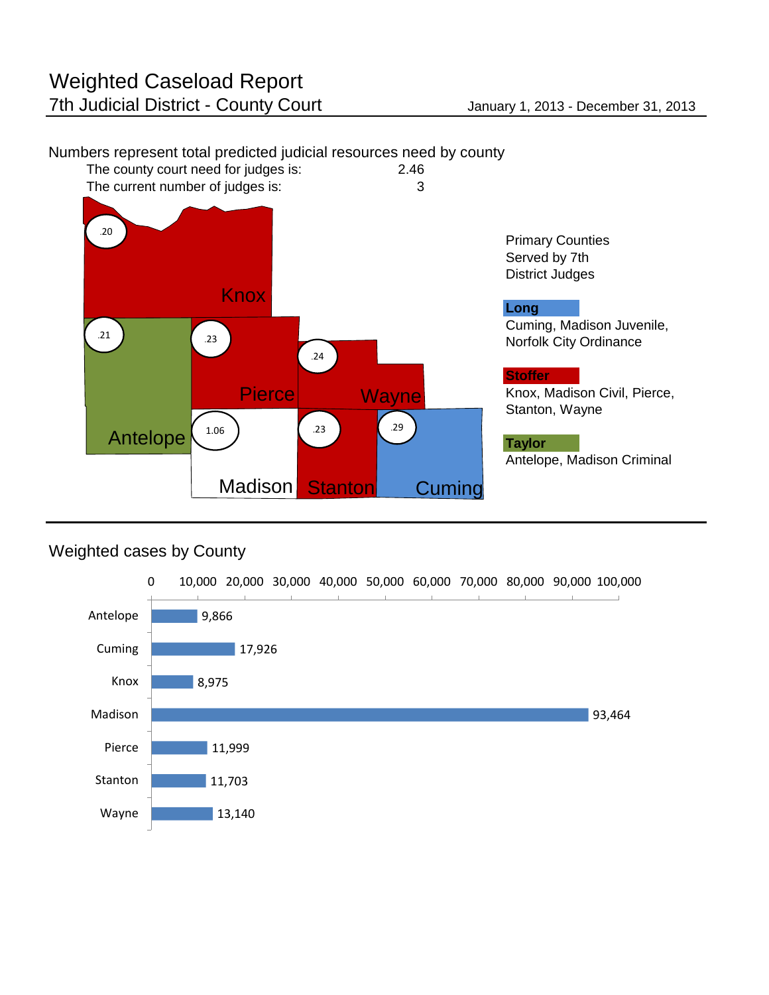

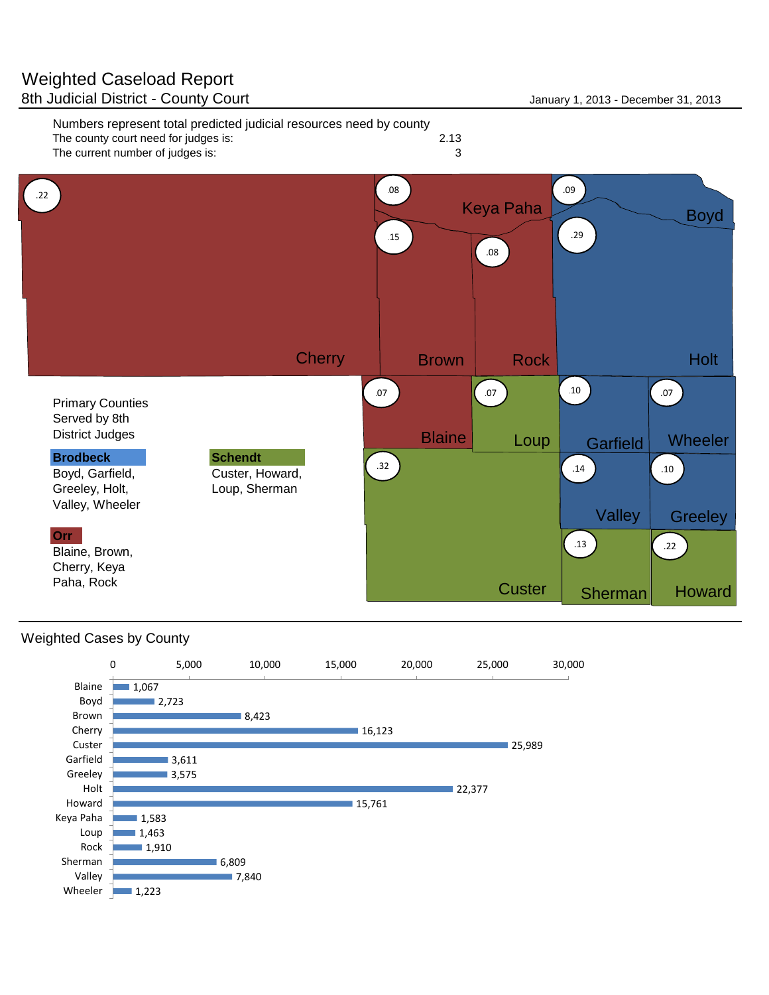

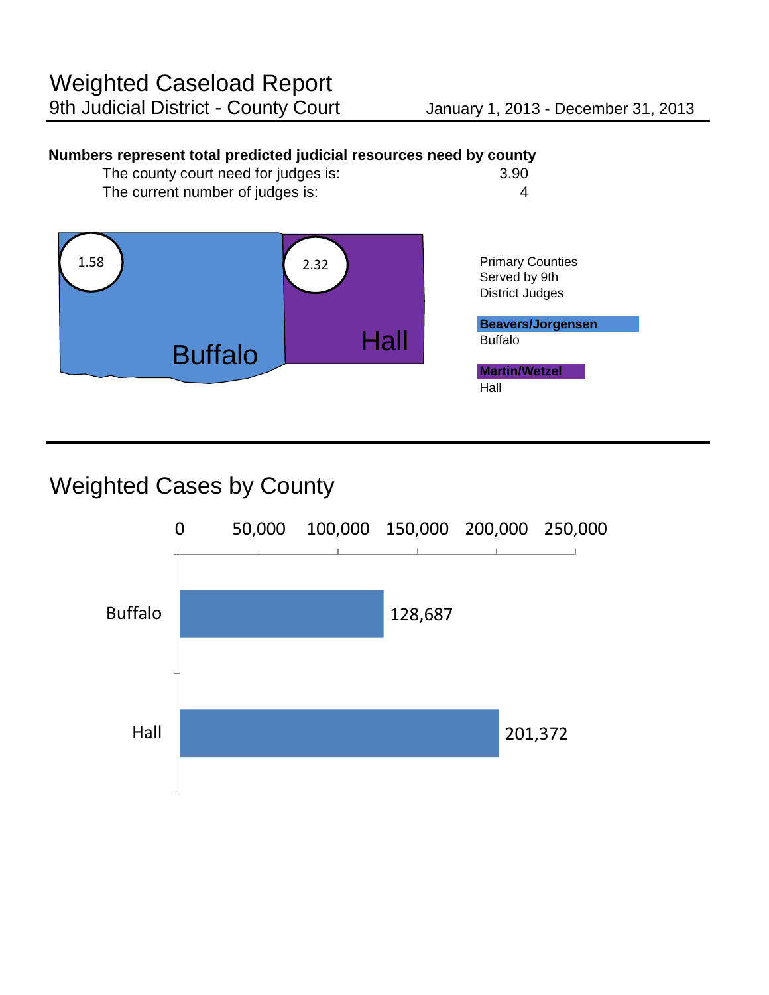#### **Numbers represent total predicted judicial resources need by county**



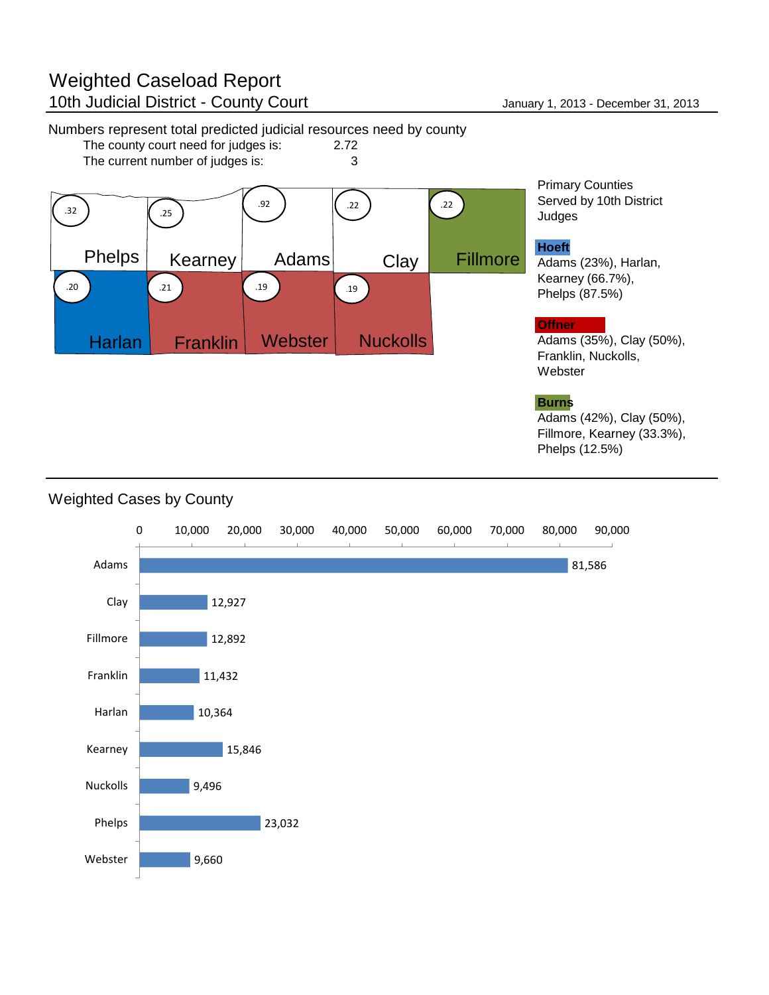The county court need for judges is: The current number of judges is: 3



Primary Counties Served by 10th District Judges

#### **Hoeft**

Adams (23%), Harlan, Kearney (66.7%), Phelps (87.5%)

#### **Offner**

Adams (35%), Clay (50%), Franklin, Nuckolls, Webster

#### **Burns**

Adams (42%), Clay (50%), Fillmore, Kearney (33.3%), Phelps (12.5%)

#### 81,586 12,927 12,892 11,432 10,364 15,846 9,496 23,032 9,660 0 10,000 20,000 30,000 40,000 50,000 60,000 70,000 80,000 90,000 Adams Clay Fillmore Franklin Harlan Kearney Nuckolls Phelps Webster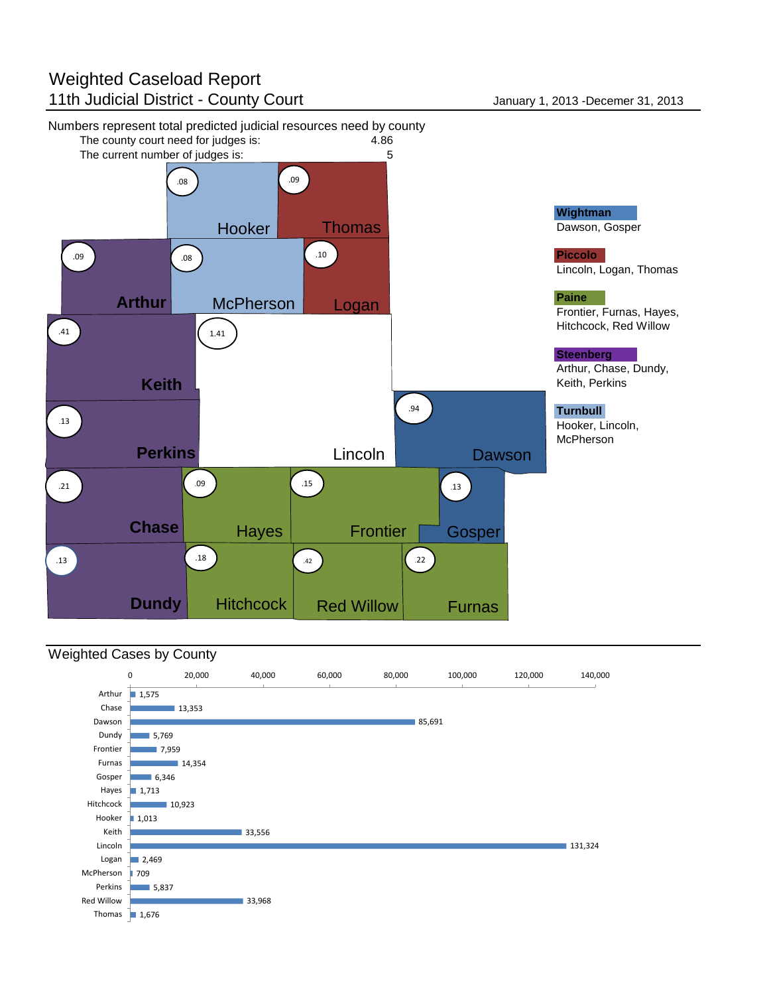#### Weighted Caseload Report 11th Judicial District - County Court **Internal County County County County County County County County County County County County County County County County County County County County County County County County County**